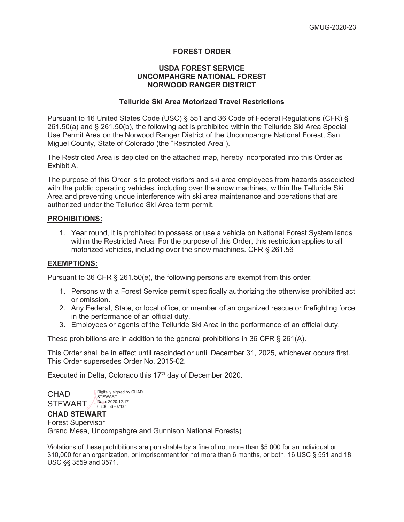## **FOREST ORDER**

## **USDA FOREST SERVICE UNCOMPAHGRE NATIONAL FOREST NORWOOD RANGER DISTRICT**

# **Telluride Ski Area Motorized Travel Restrictions**

Pursuant to 16 United States Code (USC) § 551 and 36 Code of Federal Regulations (CFR) § 261.50(a) and § 261.50(b), the following act is prohibited within the Telluride Ski Area Special Use Permit Area on the Norwood Ranger District of the Uncompahgre National Forest, San Miguel County, State of Colorado (the "Restricted Area").

The Restricted Area is depicted on the attached map, hereby incorporated into this Order as Exhibit A.

The purpose of this Order is to protect visitors and ski area employees from hazards associated with the public operating vehicles, including over the snow machines, within the Telluride Ski Area and preventing undue interference with ski area maintenance and operations that are authorized under the Telluride Ski Area term permit.

#### **PROHIBITIONS:**

1. Year round, it is prohibited to possess or use a vehicle on National Forest System lands within the Restricted Area. For the purpose of this Order, this restriction applies to all motorized vehicles, including over the snow machines. CFR § 261.56

## **EXEMPTIONS:**

Pursuant to 36 CFR § 261.50(e), the following persons are exempt from this order:

- 1. Persons with a Forest Service permit specifically authorizing the otherwise prohibited act or omission.
- 2. Any Federal, State, or local office, or member of an organized rescue or firefighting force in the performance of an official duty.
- 3. Employees or agents of the Telluride Ski Area in the performance of an official duty.

These prohibitions are in addition to the general prohibitions in 36 CFR  $\S$  261(A).

This Order shall be in effect until rescinded or until December 31, 2025, whichever occurs first. This Order supersedes Order No. 2015-02.

Executed in Delta, Colorado this 17<sup>th</sup> day of December 2020.

CHAD STEWART

Digitally signed by CHAD **STEWART** Date: 2020.12.17 08:06:56 -07'00'

## **CHAD STEWART**

Forest Supervisor Grand Mesa, Uncompahgre and Gunnison National Forests)

Violations of these prohibitions are punishable by a fine of not more than \$5,000 for an individual or \$10,000 for an organization, or imprisonment for not more than 6 months, or both. 16 USC § 551 and 18 USC §§ 3559 and 3571.